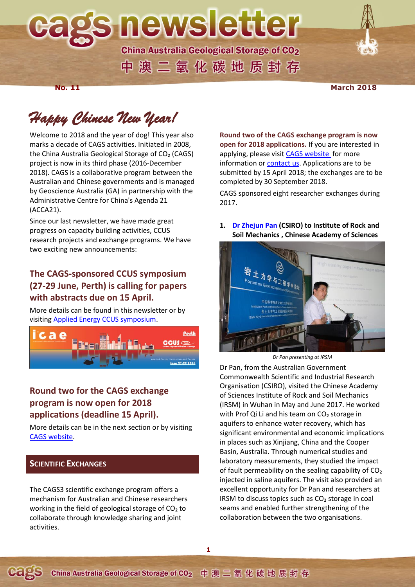**s newsletter** 

**China Australia Geological Storage of CO2** 中澳二氧化碳地质封存

#### **No. 11** March 2018

# *Happy Chinese New Year!*

Welcome to 2018 and the year of dog! This year also marks a decade of CAGS activities. Initiated in 2008, the China Australia Geological Storage of CO₂ (CAGS) project is now in its third phase (2016-December 2018). CAGS is a collaborative program between the Australian and Chinese governments and is managed by Geoscience Australia (GA) in partnership with the Administrative Centre for China's Agenda 21 (ACCA21).

Since our last newsletter, we have made great progress on capacity building activities, CCUS research projects and exchange programs. We have two exciting new announcements:

# **The CAGS-sponsored CCUS symposium (27-29 June, Perth) is calling for papers with abstracts due on 15 April.**

More details can be found in this newsletter or by visitin[g Applied Energy CCUS symposium.](http://applied-energy.org/ccus2018)



# **Round two for the CAGS exchange program is now open for 2018 applications (deadline 15 April).**

More details can be in the next section or by visiting [CAGS website.](http://www.cagsinfo.net/other-activities)

# **SCIENTIFIC EXCHANGES**

The CAGS3 scientific exchange program offers a mechanism for Australian and Chinese researchers working in the field of geological storage of  $CO<sub>2</sub>$  to collaborate through knowledge sharing and joint activities.

**Round two of the CAGS exchange program is now open for 2018 applications.** If you are interested in applying, please visit [CAGS website](http://www.cagsinfo.net/other-activities) for more information or [contact us.](mailto:info@cagsinfo.net) Applications are to be submitted by 15 April 2018; the exchanges are to be completed by 30 September 2018.

CAGS sponsored eight researcher exchanges during 2017.

# **1. [Dr Zhejun Pan](http://www.cagsinfo.net/other-activities/zhejun-pan) (CSIRO) to Institute of Rock and Soil Mechanics , Chinese Academy of Sciences**



*Dr Pan presenting at IRSM*

Dr Pan, from the Australian Government Commonwealth Scientific and Industrial Research Organisation (CSIRO), visited the Chinese Academy of Sciences Institute of Rock and Soil Mechanics (IRSM) in Wuhan in May and June 2017. He worked with Prof Qi Li and his team on CO<sub>2</sub> storage in aquifers to enhance water recovery, which has significant environmental and economic implications in places such as Xinjiang, China and the Cooper Basin, Australia. Through numerical studies and laboratory measurements, they studied the impact of fault permeability on the sealing capability of CO<sub>2</sub> injected in saline aquifers. The visit also provided an excellent opportunity for Dr Pan and researchers at IRSM to discuss topics such as  $CO<sub>2</sub>$  storage in coal seams and enabled further strengthening of the collaboration between the two organisations.

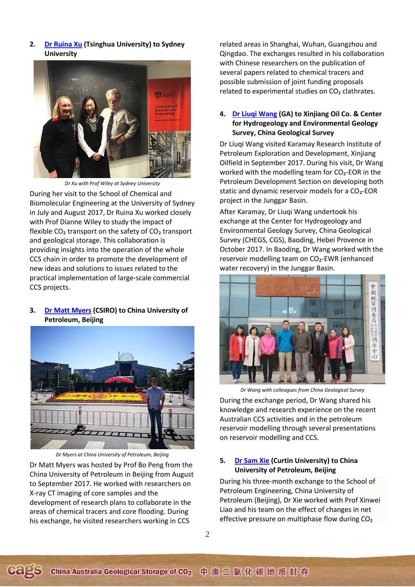**2. [Dr Ruina Xu](http://www.cagsinfo.net/other-activities/ruina-xu) (Tsinghua University) to Sydney University**



*Dr Xu with Prof Wiley at Sydney University* During her visit to the School of Chemical and Biomolecular Engineering at the University of Sydney in July and August 2017, Dr Ruina Xu worked closely with Prof Dianne Wiley to study the impact of flexible  $CO<sub>2</sub>$  transport on the safety of  $CO<sub>2</sub>$  transport and geological storage. This collaboration is providing insights into the operation of the whole CCS chain in order to promote the development of new ideas and solutions to issues related to the practical implementation of large-scale commercial CCS projects.

# **3. [Dr Matt Myers](http://www.cagsinfo.net/other-activities/cags3-exchanges) (CSIRO) to China University of Petroleum, Beijing**



*Dr Myers at China University of Petroleum, Beijing*

Dr Matt Myers was hosted by Prof Bo Peng from the China University of Petroleum in Beijing from August to September 2017. He worked with researchers on X-ray CT imaging of core samples and the development of research plans to collaborate in the areas of chemical tracers and core flooding. During his exchange, he visited researchers working in CCS

related areas in Shanghai, Wuhan, Guangzhou and Qingdao. The exchanges resulted in his collaboration with Chinese researchers on the publication of several papers related to chemical tracers and possible submission of joint funding proposals related to experimental studies on CO<sub>2</sub> clathrates.

# **4. [Dr Liuqi Wang](http://www.cagsinfo.net/other-activities/liuqi-wang) (GA) to Xinjiang Oil Co. & Center for Hydrogeology and Environmental Geology Survey, China Geological Survey**

Dr Liuqi Wang visited Karamay Research Institute of Petroleum Exploration and Development, Xinjiang Oilfield in September 2017. During his visit, Dr Wang worked with the modelling team for CO2-EOR in the Petroleum Development Section on developing both static and dynamic reservoir models for a  $CO<sub>2</sub>$ -EOR project in the Junggar Basin.

After Karamay, Dr Liuqi Wang undertook his exchange at the Center for Hydrogeology and Environmental Geology Survey, China Geological Survey (CHEGS, CGS), Baoding, Hebei Provence in October 2017. In Baoding, Dr Wang worked with the reservoir modelling team on CO₂-EWR (enhanced water recovery) in the Junggar Basin.



*Dr Wang with colleagues from China Geological Survey*

During the exchange period, Dr Wang shared his knowledge and research experience on the recent Australian CCS activities and in the petroleum reservoir modelling through several presentations on reservoir modelling and CCS.

## **5. [Dr Sam Xie](http://www.cagsinfo.net/other-activities/sam-xie) (Curtin University) to China University of Petroleum, Beijing**

During his three-month exchange to the School of Petroleum Engineering, China University of Petroleum (Beijing), Dr Xie worked with Prof Xinwei Liao and his team on the effect of changes in net effective pressure on multiphase flow during CO₂

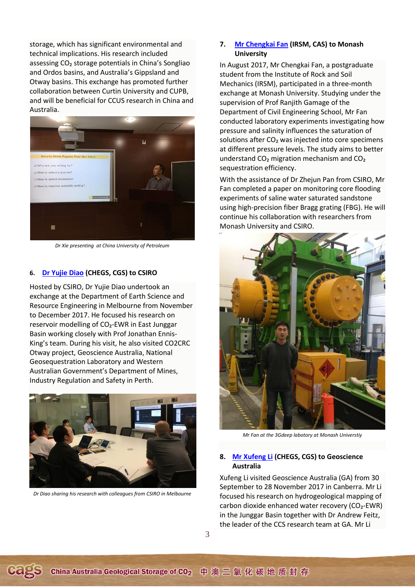storage, which has significant environmental and technical implications. His research included assessing CO₂ storage potentials in China's Songliao and Ordos basins, and Australia's Gippsland and Otway basins. This exchange has promoted further collaboration between Curtin University and CUPB, and will be beneficial for CCUS research in China and Australia.



*Dr Xie presenting at China University of Petroleum*

#### **6. [Dr Yujie Diao](http://www.cagsinfo.net/other-activities/yujie-diao) (CHEGS, CGS) to CSIRO**

Hosted by CSIRO, Dr Yujie Diao undertook an exchange at the Department of Earth Science and Resource Engineering in Melbourne from November to December 2017. He focused his research on reservoir modelling of CO₂-EWR in East Junggar Basin working closely with Prof Jonathan Ennis-King's team. During his visit, he also visited CO2CRC Otway project, Geoscience Australia, National Geosequestration Laboratory and Western Australian Government's Department of Mines, Industry Regulation and Safety in Perth.



*Dr Diao sharing his research with colleagues from CSIRO in Melbourne*

#### **7. [Mr Chengkai Fan](http://www.cagsinfo.net/other-activities/chengkai-fan) (IRSM, CAS) to Monash University**

In August 2017, Mr Chengkai Fan, a postgraduate student from the Institute of Rock and Soil Mechanics (IRSM), participated in a three-month exchange at Monash University. Studying under the supervision of Prof Ranjith Gamage of the Department of Civil Engineering School, Mr Fan conducted laboratory experiments investigating how pressure and salinity influences the saturation of solutions after CO<sub>2</sub> was injected into core specimens at different pressure levels. The study aims to better understand CO₂ migration mechanism and CO₂ sequestration efficiency.

With the assistance of Dr Zhejun Pan from CSIRO, Mr Fan completed a paper on monitoring core flooding experiments of saline water saturated sandstone using high-precision fiber Bragg grating (FBG). He will continue his collaboration with researchers from Monash University and CSIRO.



*Mr Fan at the 3Gdeep labotory at Monash Universtiy*

# **8. [Mr Xufeng Li](http://www.cagsinfo.net/other-activities/xufeng-li) (CHEGS, CGS) to Geoscience Australia**

Xufeng Li visited Geoscience Australia (GA) from 30 September to 28 November 2017 in Canberra. Mr Li focused his research on hydrogeological mapping of carbon dioxide enhanced water recovery (CO₂-EWR) in the Junggar Basin together with Dr Andrew Feitz, the leader of the CCS research team at GA. Mr Li